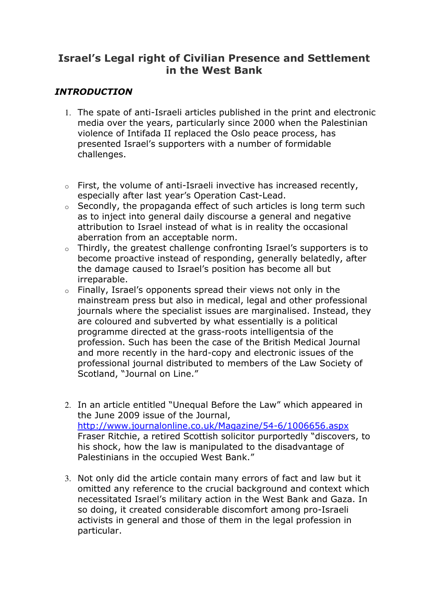# Israel's Legal right of Civilian Presence and Settlement in the West Bank

### **INTRODUCTION**

- 1. The spate of anti-Israeli articles published in the print and electronic media over the years, particularly since 2000 when the Palestinian violence of Intifada II replaced the Oslo peace process, has presented Israel's supporters with a number of formidable challenges.
- o First, the volume of anti-Israeli invective has increased recently, especially after last year's Operation Cast-Lead.
- $\circ$  Secondly, the propaganda effect of such articles is long term such as to inject into general daily discourse a general and negative attribution to Israel instead of what is in reality the occasional aberration from an acceptable norm.
- o Thirdly, the greatest challenge confronting Israel's supporters is to become proactive instead of responding, generally belatedly, after the damage caused to Israel's position has become all but irreparable.
- $\circ$  Finally, Israel's opponents spread their views not only in the mainstream press but also in medical, legal and other professional journals where the specialist issues are marginalised. Instead, they are coloured and subverted by what essentially is a political programme directed at the grass-roots intelligentsia of the profession. Such has been the case of the British Medical Journal and more recently in the hard-copy and electronic issues of the professional journal distributed to members of the Law Society of Scotland, "Journal on Line."
- 2. In an article entitled "Unequal Before the Law" which appeared in the June 2009 issue of the Journal, http://www.journalonline.co.uk/Magazine/54-6/1006656.aspx Fraser Ritchie, a retired Scottish solicitor purportedly "discovers, to his shock, how the law is manipulated to the disadvantage of Palestinians in the occupied West Bank."
- 3. Not only did the article contain many errors of fact and law but it omitted any reference to the crucial background and context which necessitated Israel's military action in the West Bank and Gaza. In so doing, it created considerable discomfort among pro-Israeli activists in general and those of them in the legal profession in particular.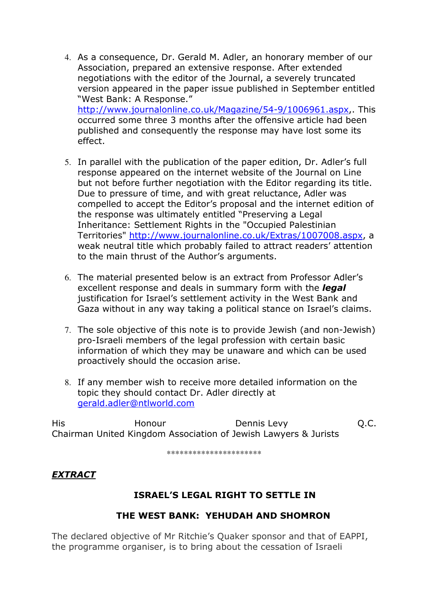- 4. As a consequence, Dr. Gerald M. Adler, an honorary member of our Association, prepared an extensive response. After extended negotiations with the editor of the Journal, a severely truncated version appeared in the paper issue published in September entitled "West Bank: A Response." http://www.journalonline.co.uk/Magazine/54-9/1006961.aspx,. This occurred some three 3 months after the offensive article had been published and consequently the response may have lost some its effect.
- 5. In parallel with the publication of the paper edition, Dr. Adler's full response appeared on the internet website of the Journal on Line but not before further negotiation with the Editor regarding its title. Due to pressure of time, and with great reluctance, Adler was compelled to accept the Editor's proposal and the internet edition of the response was ultimately entitled "Preserving a Legal Inheritance: Settlement Rights in the "Occupied Palestinian Territories" http://www.journalonline.co.uk/Extras/1007008.aspx, a weak neutral title which probably failed to attract readers' attention to the main thrust of the Author's arguments.
- 6. The material presented below is an extract from Professor Adler's excellent response and deals in summary form with the *legal* justification for Israel's settlement activity in the West Bank and Gaza without in any way taking a political stance on Israel's claims.
- 7. The sole objective of this note is to provide Jewish (and non-Jewish) pro-Israeli members of the legal profession with certain basic information of which they may be unaware and which can be used proactively should the occasion arise.
- 8. If any member wish to receive more detailed information on the topic they should contact Dr. Adler directly at gerald.adler@ntlworld.com

His Honour Dennis Levy Q.C. Chairman United Kingdom Association of Jewish Lawyers & Jurists

\*\*\*\*\*\*\*\*\*\*\*\*\*\*\*\*\*\*\*\*\*\*

## EXTRACT

## ISRAEL'S LEGAL RIGHT TO SETTLE IN

### THE WEST BANK: YEHUDAH AND SHOMRON

The declared objective of Mr Ritchie's Quaker sponsor and that of EAPPI, the programme organiser, is to bring about the cessation of Israeli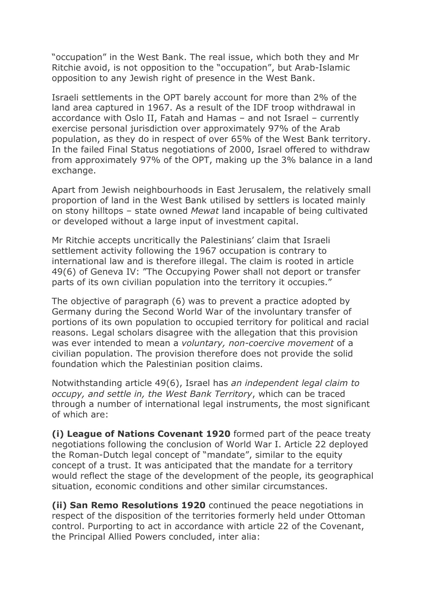"occupation" in the West Bank. The real issue, which both they and Mr Ritchie avoid, is not opposition to the "occupation", but Arab-Islamic opposition to any Jewish right of presence in the West Bank.

Israeli settlements in the OPT barely account for more than 2% of the land area captured in 1967. As a result of the IDF troop withdrawal in accordance with Oslo II, Fatah and Hamas – and not Israel – currently exercise personal jurisdiction over approximately 97% of the Arab population, as they do in respect of over 65% of the West Bank territory. In the failed Final Status negotiations of 2000, Israel offered to withdraw from approximately 97% of the OPT, making up the 3% balance in a land exchange.

Apart from Jewish neighbourhoods in East Jerusalem, the relatively small proportion of land in the West Bank utilised by settlers is located mainly on stony hilltops – state owned Mewat land incapable of being cultivated or developed without a large input of investment capital.

Mr Ritchie accepts uncritically the Palestinians' claim that Israeli settlement activity following the 1967 occupation is contrary to international law and is therefore illegal. The claim is rooted in article 49(6) of Geneva IV: "The Occupying Power shall not deport or transfer parts of its own civilian population into the territory it occupies."

The objective of paragraph (6) was to prevent a practice adopted by Germany during the Second World War of the involuntary transfer of portions of its own population to occupied territory for political and racial reasons. Legal scholars disagree with the allegation that this provision was ever intended to mean a voluntary, non-coercive movement of a civilian population. The provision therefore does not provide the solid foundation which the Palestinian position claims.

Notwithstanding article 49(6), Israel has an independent legal claim to occupy, and settle in, the West Bank Territory, which can be traced through a number of international legal instruments, the most significant of which are:

(i) League of Nations Covenant 1920 formed part of the peace treaty negotiations following the conclusion of World War I. Article 22 deployed the Roman-Dutch legal concept of "mandate", similar to the equity concept of a trust. It was anticipated that the mandate for a territory would reflect the stage of the development of the people, its geographical situation, economic conditions and other similar circumstances.

(ii) San Remo Resolutions 1920 continued the peace negotiations in respect of the disposition of the territories formerly held under Ottoman control. Purporting to act in accordance with article 22 of the Covenant, the Principal Allied Powers concluded, inter alia: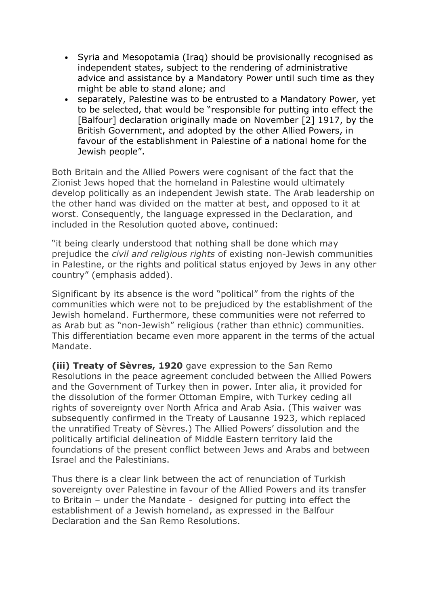- Syria and Mesopotamia (Iraq) should be provisionally recognised as independent states, subject to the rendering of administrative advice and assistance by a Mandatory Power until such time as they might be able to stand alone; and
- separately, Palestine was to be entrusted to a Mandatory Power, yet to be selected, that would be "responsible for putting into effect the [Balfour] declaration originally made on November [2] 1917, by the British Government, and adopted by the other Allied Powers, in favour of the establishment in Palestine of a national home for the Jewish people".

Both Britain and the Allied Powers were cognisant of the fact that the Zionist Jews hoped that the homeland in Palestine would ultimately develop politically as an independent Jewish state. The Arab leadership on the other hand was divided on the matter at best, and opposed to it at worst. Consequently, the language expressed in the Declaration, and included in the Resolution quoted above, continued:

"it being clearly understood that nothing shall be done which may prejudice the civil and religious rights of existing non-Jewish communities in Palestine, or the rights and political status enjoyed by Jews in any other country" (emphasis added).

Significant by its absence is the word "political" from the rights of the communities which were not to be prejudiced by the establishment of the Jewish homeland. Furthermore, these communities were not referred to as Arab but as "non-Jewish" religious (rather than ethnic) communities. This differentiation became even more apparent in the terms of the actual Mandate.

(iii) Treaty of Sèvres, 1920 gave expression to the San Remo Resolutions in the peace agreement concluded between the Allied Powers and the Government of Turkey then in power. Inter alia, it provided for the dissolution of the former Ottoman Empire, with Turkey ceding all rights of sovereignty over North Africa and Arab Asia. (This waiver was subsequently confirmed in the Treaty of Lausanne 1923, which replaced the unratified Treaty of Sèvres.) The Allied Powers' dissolution and the politically artificial delineation of Middle Eastern territory laid the foundations of the present conflict between Jews and Arabs and between Israel and the Palestinians.

Thus there is a clear link between the act of renunciation of Turkish sovereignty over Palestine in favour of the Allied Powers and its transfer to Britain – under the Mandate - designed for putting into effect the establishment of a Jewish homeland, as expressed in the Balfour Declaration and the San Remo Resolutions.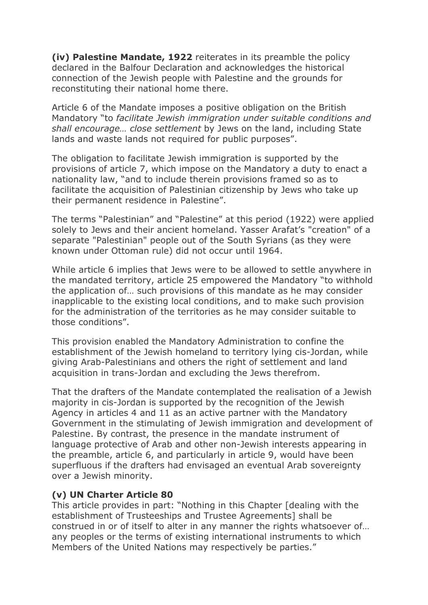(iv) Palestine Mandate, 1922 reiterates in its preamble the policy declared in the Balfour Declaration and acknowledges the historical connection of the Jewish people with Palestine and the grounds for reconstituting their national home there.

Article 6 of the Mandate imposes a positive obligation on the British Mandatory "to facilitate Jewish immigration under suitable conditions and shall encourage… close settlement by Jews on the land, including State lands and waste lands not required for public purposes".

The obligation to facilitate Jewish immigration is supported by the provisions of article 7, which impose on the Mandatory a duty to enact a nationality law, "and to include therein provisions framed so as to facilitate the acquisition of Palestinian citizenship by Jews who take up their permanent residence in Palestine".

The terms "Palestinian" and "Palestine" at this period (1922) were applied solely to Jews and their ancient homeland. Yasser Arafat's "creation" of a separate "Palestinian" people out of the South Syrians (as they were known under Ottoman rule) did not occur until 1964.

While article 6 implies that Jews were to be allowed to settle anywhere in the mandated territory, article 25 empowered the Mandatory "to withhold the application of… such provisions of this mandate as he may consider inapplicable to the existing local conditions, and to make such provision for the administration of the territories as he may consider suitable to those conditions".

This provision enabled the Mandatory Administration to confine the establishment of the Jewish homeland to territory lying cis-Jordan, while giving Arab-Palestinians and others the right of settlement and land acquisition in trans-Jordan and excluding the Jews therefrom.

That the drafters of the Mandate contemplated the realisation of a Jewish majority in cis-Jordan is supported by the recognition of the Jewish Agency in articles 4 and 11 as an active partner with the Mandatory Government in the stimulating of Jewish immigration and development of Palestine. By contrast, the presence in the mandate instrument of language protective of Arab and other non-Jewish interests appearing in the preamble, article 6, and particularly in article 9, would have been superfluous if the drafters had envisaged an eventual Arab sovereignty over a Jewish minority.

#### (v) UN Charter Article 80

This article provides in part: "Nothing in this Chapter [dealing with the establishment of Trusteeships and Trustee Agreements] shall be construed in or of itself to alter in any manner the rights whatsoever of… any peoples or the terms of existing international instruments to which Members of the United Nations may respectively be parties."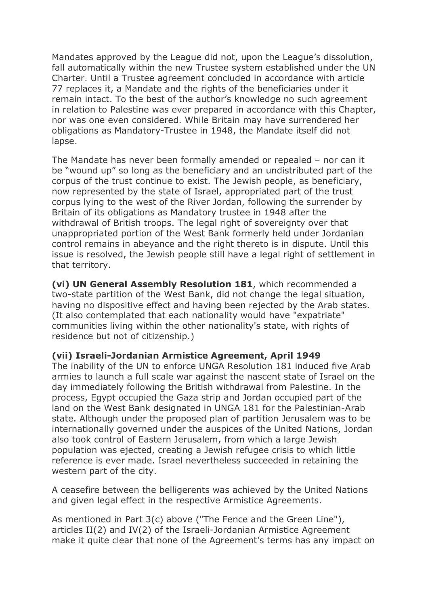Mandates approved by the League did not, upon the League's dissolution, fall automatically within the new Trustee system established under the UN Charter. Until a Trustee agreement concluded in accordance with article 77 replaces it, a Mandate and the rights of the beneficiaries under it remain intact. To the best of the author's knowledge no such agreement in relation to Palestine was ever prepared in accordance with this Chapter, nor was one even considered. While Britain may have surrendered her obligations as Mandatory-Trustee in 1948, the Mandate itself did not lapse.

The Mandate has never been formally amended or repealed – nor can it be "wound up" so long as the beneficiary and an undistributed part of the corpus of the trust continue to exist. The Jewish people, as beneficiary, now represented by the state of Israel, appropriated part of the trust corpus lying to the west of the River Jordan, following the surrender by Britain of its obligations as Mandatory trustee in 1948 after the withdrawal of British troops. The legal right of sovereignty over that unappropriated portion of the West Bank formerly held under Jordanian control remains in abeyance and the right thereto is in dispute. Until this issue is resolved, the Jewish people still have a legal right of settlement in that territory.

(vi) UN General Assembly Resolution 181, which recommended a two-state partition of the West Bank, did not change the legal situation, having no dispositive effect and having been rejected by the Arab states. (It also contemplated that each nationality would have "expatriate" communities living within the other nationality's state, with rights of residence but not of citizenship.)

#### (vii) Israeli-Jordanian Armistice Agreement, April 1949

The inability of the UN to enforce UNGA Resolution 181 induced five Arab armies to launch a full scale war against the nascent state of Israel on the day immediately following the British withdrawal from Palestine. In the process, Egypt occupied the Gaza strip and Jordan occupied part of the land on the West Bank designated in UNGA 181 for the Palestinian-Arab state. Although under the proposed plan of partition Jerusalem was to be internationally governed under the auspices of the United Nations, Jordan also took control of Eastern Jerusalem, from which a large Jewish population was ejected, creating a Jewish refugee crisis to which little reference is ever made. Israel nevertheless succeeded in retaining the western part of the city.

A ceasefire between the belligerents was achieved by the United Nations and given legal effect in the respective Armistice Agreements.

As mentioned in Part 3(c) above ("The Fence and the Green Line"), articles II(2) and IV(2) of the Israeli-Jordanian Armistice Agreement make it quite clear that none of the Agreement's terms has any impact on